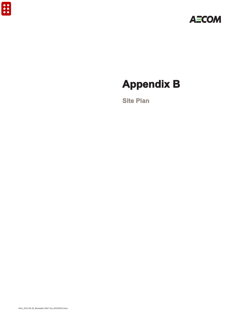

# **Appendix B**

**Site Plan**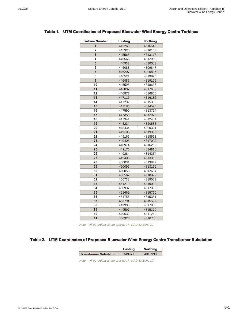| <b>Turbine Number</b> | <b>Easting</b> | <b>Northing</b> |
|-----------------------|----------------|-----------------|
| 1                     | 445260         | 4816548         |
| 2                     | 445320         | 4816183         |
| 3                     | 445565         | 4813118         |
| 4                     | 445568         | 4812063         |
| 5                     | 445933         | 4810683         |
| 6                     | 446088         | 4809847         |
| 7                     | 446207         | 4820836         |
| 8                     | 446521         | 4819890         |
| 9                     | 446485         | 4819125         |
| 10                    | 446595         | 4818636         |
| 11                    | 446832         | 4817609         |
| 12                    | 446877         | 4816800         |
| 13                    | 447116         | 4816186         |
| 14                    | 447232         | 4815368         |
| 15                    | 447186         | 4814525         |
| 16                    | 447590         | 4813794         |
| 17                    | 447358         | 4812978         |
| 18                    | 447341         | 4812484         |
| 19                    | 448234         | 4820588         |
| 20                    | 448434         | 4820321         |
| 21                    | 449105         | 4819060         |
| 22                    | 449166         | 4818561         |
| 23                    | 449406         | 4817022         |
| 24                    | 448974         | 4816250         |
| 25                    | 449175         | 4814818         |
| 26                    | 449284         | 4814234         |
| 27                    | 449400         | 4813830         |
| 28                    | 450031         | 4813877         |
| 29                    | 450097         | 4813116         |
| 30                    | 450058         | 4812694         |
| 31                    | 450567         | 4810875         |
| 32                    | 450732         | 4819033         |
| 33                    | 451219         | 4819080         |
| 34                    | 450937         | 4817380         |
| 35                    | 451669         | 4815710         |
| 36                    | 451756         | 4815381         |
| 37                    | 453294         | 4815596         |
| 38                    | 449306         | 4817953         |
| 39                    | 449597         | 4815379         |
| 40                    | 449532         | 4811269         |
| 41                    | 450920         | 4816780         |

#### **Table 1. UTM Coordinates of Proposed Bluewater Wind Energy Centre Turbines**

#### **Table 2. UTM Coordinates of Proposed Bluewater Wind Energy Centre Transformer Substation**

|                               | Easting | <b>Northing</b> |
|-------------------------------|---------|-----------------|
| <b>Transformer Substation</b> | 449471  | 4815930         |

*Note: All co-ordinates are provided in NAD 83 Zone 17.*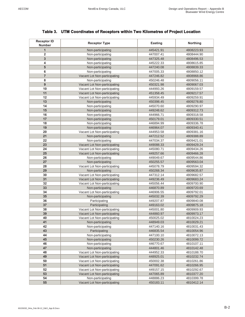| 1<br>Non-participating<br>445421.91<br>$\overline{2}$<br>Non-participating<br>447007.41<br>3<br>Non-participating<br>447325.48<br>Non-participating<br>4<br>445222.33<br>5<br>Non-participating<br>447240.08<br>6<br>Non-participating<br>447005.33<br>$\overline{\mathbf{7}}$<br>Vacant Lot Non-participating<br>447246.82<br>8<br>Non-participating<br>450246.48<br>9<br>Vacant Lot Non-participating<br>450321.98<br>10<br>Vacant Lot Non-participating<br>444993.26<br>11<br>Vacant Lot Non-participating<br>451358.45<br>12<br>Vacant Lot Non-participating<br>445934.49<br>13<br>Non-participating<br>450398.45<br>14<br>Non-participating<br>445070.60<br>15<br>Non-participating<br>449248.62<br>16<br>Non-participating<br>444966.71<br>17<br>Non-participating<br>450179.01<br>18<br>Non-participating<br>446894.99<br>19<br>Non-participating<br>446964.07<br>20<br>Vacant Lot Non-participating<br>444953.58<br>21<br>Non-participating<br>447212.52<br>22<br>Non-participating<br>447034.37 | 4808223.93               |
|----------------------------------------------------------------------------------------------------------------------------------------------------------------------------------------------------------------------------------------------------------------------------------------------------------------------------------------------------------------------------------------------------------------------------------------------------------------------------------------------------------------------------------------------------------------------------------------------------------------------------------------------------------------------------------------------------------------------------------------------------------------------------------------------------------------------------------------------------------------------------------------------------------------------------------------------------------------------------------------------------------|--------------------------|
|                                                                                                                                                                                                                                                                                                                                                                                                                                                                                                                                                                                                                                                                                                                                                                                                                                                                                                                                                                                                          |                          |
|                                                                                                                                                                                                                                                                                                                                                                                                                                                                                                                                                                                                                                                                                                                                                                                                                                                                                                                                                                                                          | 4808444.90               |
|                                                                                                                                                                                                                                                                                                                                                                                                                                                                                                                                                                                                                                                                                                                                                                                                                                                                                                                                                                                                          | 4808496.53               |
|                                                                                                                                                                                                                                                                                                                                                                                                                                                                                                                                                                                                                                                                                                                                                                                                                                                                                                                                                                                                          | 4808615.85               |
|                                                                                                                                                                                                                                                                                                                                                                                                                                                                                                                                                                                                                                                                                                                                                                                                                                                                                                                                                                                                          | 4808839.33               |
|                                                                                                                                                                                                                                                                                                                                                                                                                                                                                                                                                                                                                                                                                                                                                                                                                                                                                                                                                                                                          | 4808850.12               |
|                                                                                                                                                                                                                                                                                                                                                                                                                                                                                                                                                                                                                                                                                                                                                                                                                                                                                                                                                                                                          | 4808968.86               |
|                                                                                                                                                                                                                                                                                                                                                                                                                                                                                                                                                                                                                                                                                                                                                                                                                                                                                                                                                                                                          | 4809056.11               |
|                                                                                                                                                                                                                                                                                                                                                                                                                                                                                                                                                                                                                                                                                                                                                                                                                                                                                                                                                                                                          | 4809067.03               |
|                                                                                                                                                                                                                                                                                                                                                                                                                                                                                                                                                                                                                                                                                                                                                                                                                                                                                                                                                                                                          | 4809159.57               |
|                                                                                                                                                                                                                                                                                                                                                                                                                                                                                                                                                                                                                                                                                                                                                                                                                                                                                                                                                                                                          | 4809217.57               |
|                                                                                                                                                                                                                                                                                                                                                                                                                                                                                                                                                                                                                                                                                                                                                                                                                                                                                                                                                                                                          | 4809259.91               |
|                                                                                                                                                                                                                                                                                                                                                                                                                                                                                                                                                                                                                                                                                                                                                                                                                                                                                                                                                                                                          | 4809278.80               |
|                                                                                                                                                                                                                                                                                                                                                                                                                                                                                                                                                                                                                                                                                                                                                                                                                                                                                                                                                                                                          | 4809290.97               |
|                                                                                                                                                                                                                                                                                                                                                                                                                                                                                                                                                                                                                                                                                                                                                                                                                                                                                                                                                                                                          | 4809312.73               |
|                                                                                                                                                                                                                                                                                                                                                                                                                                                                                                                                                                                                                                                                                                                                                                                                                                                                                                                                                                                                          | 4809318.58               |
|                                                                                                                                                                                                                                                                                                                                                                                                                                                                                                                                                                                                                                                                                                                                                                                                                                                                                                                                                                                                          | 4809330.51               |
|                                                                                                                                                                                                                                                                                                                                                                                                                                                                                                                                                                                                                                                                                                                                                                                                                                                                                                                                                                                                          | 4809336.78               |
|                                                                                                                                                                                                                                                                                                                                                                                                                                                                                                                                                                                                                                                                                                                                                                                                                                                                                                                                                                                                          | 4809340.41               |
|                                                                                                                                                                                                                                                                                                                                                                                                                                                                                                                                                                                                                                                                                                                                                                                                                                                                                                                                                                                                          | 4809381.16               |
|                                                                                                                                                                                                                                                                                                                                                                                                                                                                                                                                                                                                                                                                                                                                                                                                                                                                                                                                                                                                          | 4809388.89               |
|                                                                                                                                                                                                                                                                                                                                                                                                                                                                                                                                                                                                                                                                                                                                                                                                                                                                                                                                                                                                          | 4809421.01               |
| 23<br>Vacant Lot Non-participating<br>449088.33                                                                                                                                                                                                                                                                                                                                                                                                                                                                                                                                                                                                                                                                                                                                                                                                                                                                                                                                                          | 4809429.24               |
| 24<br>Vacant Lot Non-participating<br>445080.71                                                                                                                                                                                                                                                                                                                                                                                                                                                                                                                                                                                                                                                                                                                                                                                                                                                                                                                                                          | 4809434.26               |
| 25<br>Vacant Lot Non-participating<br>449257.66                                                                                                                                                                                                                                                                                                                                                                                                                                                                                                                                                                                                                                                                                                                                                                                                                                                                                                                                                          | 4809466.28               |
| 26<br>Non-participating<br>449049.67                                                                                                                                                                                                                                                                                                                                                                                                                                                                                                                                                                                                                                                                                                                                                                                                                                                                                                                                                                     | 4809544.86               |
| 27<br>Non-participating<br>450255.57                                                                                                                                                                                                                                                                                                                                                                                                                                                                                                                                                                                                                                                                                                                                                                                                                                                                                                                                                                     | 4809563.04               |
| Vacant Lot Non-participating<br>28<br>445078.79                                                                                                                                                                                                                                                                                                                                                                                                                                                                                                                                                                                                                                                                                                                                                                                                                                                                                                                                                          | 4809594.32               |
| 29<br>Non-participating<br>450268.34                                                                                                                                                                                                                                                                                                                                                                                                                                                                                                                                                                                                                                                                                                                                                                                                                                                                                                                                                                     | 4809635.87               |
| 30<br>Vacant Lot Non-participating<br>447312.14                                                                                                                                                                                                                                                                                                                                                                                                                                                                                                                                                                                                                                                                                                                                                                                                                                                                                                                                                          | 4809682.57               |
| 31<br>Vacant Lot Non-participating<br>449236.49                                                                                                                                                                                                                                                                                                                                                                                                                                                                                                                                                                                                                                                                                                                                                                                                                                                                                                                                                          | 4809683.24               |
| 32<br>Vacant Lot Non-participating<br>445056.44                                                                                                                                                                                                                                                                                                                                                                                                                                                                                                                                                                                                                                                                                                                                                                                                                                                                                                                                                          | 4809700.90               |
| 33<br>Non-participating<br>446870.89                                                                                                                                                                                                                                                                                                                                                                                                                                                                                                                                                                                                                                                                                                                                                                                                                                                                                                                                                                     | 4809720.69               |
| 34<br>Vacant Lot Non-participating<br>446906.55                                                                                                                                                                                                                                                                                                                                                                                                                                                                                                                                                                                                                                                                                                                                                                                                                                                                                                                                                          | 4809792.01               |
| 35<br>Non-participating<br>445032.39                                                                                                                                                                                                                                                                                                                                                                                                                                                                                                                                                                                                                                                                                                                                                                                                                                                                                                                                                                     | 4809792.29               |
| 36<br>Participating<br>449207.87                                                                                                                                                                                                                                                                                                                                                                                                                                                                                                                                                                                                                                                                                                                                                                                                                                                                                                                                                                         | 4809840.08               |
| 37<br>Participating<br>449163.02                                                                                                                                                                                                                                                                                                                                                                                                                                                                                                                                                                                                                                                                                                                                                                                                                                                                                                                                                                         | 4809875.18               |
| Vacant Lot Non-participating<br>38<br>445001.80                                                                                                                                                                                                                                                                                                                                                                                                                                                                                                                                                                                                                                                                                                                                                                                                                                                                                                                                                          | 4809909.93               |
| 39<br>Vacant Lot Non-participating<br>444860.97                                                                                                                                                                                                                                                                                                                                                                                                                                                                                                                                                                                                                                                                                                                                                                                                                                                                                                                                                          | 4809973.17               |
| 40<br>Vacant Lot Non-participating<br>450025.02                                                                                                                                                                                                                                                                                                                                                                                                                                                                                                                                                                                                                                                                                                                                                                                                                                                                                                                                                          | 4810024.23               |
| 41<br>Non-participating<br>448949.03                                                                                                                                                                                                                                                                                                                                                                                                                                                                                                                                                                                                                                                                                                                                                                                                                                                                                                                                                                     | 4810029.21               |
| 42<br>Non-participating<br>447140.16                                                                                                                                                                                                                                                                                                                                                                                                                                                                                                                                                                                                                                                                                                                                                                                                                                                                                                                                                                     | 4810031.43               |
| 43<br>Participating<br>446835.54                                                                                                                                                                                                                                                                                                                                                                                                                                                                                                                                                                                                                                                                                                                                                                                                                                                                                                                                                                         | 4810054.96               |
| 44<br>Non-participating<br>447100.10                                                                                                                                                                                                                                                                                                                                                                                                                                                                                                                                                                                                                                                                                                                                                                                                                                                                                                                                                                     | 4810072.13               |
| 45<br>Non-participating<br>450230.26                                                                                                                                                                                                                                                                                                                                                                                                                                                                                                                                                                                                                                                                                                                                                                                                                                                                                                                                                                     | 4810099.72               |
| Non-participating<br>46<br>446770.67                                                                                                                                                                                                                                                                                                                                                                                                                                                                                                                                                                                                                                                                                                                                                                                                                                                                                                                                                                     | 4810107.11               |
| Non-participating<br>47<br>444801.46                                                                                                                                                                                                                                                                                                                                                                                                                                                                                                                                                                                                                                                                                                                                                                                                                                                                                                                                                                     | 4810142.48               |
| Vacant Lot Non-participating<br>48<br>444952.33                                                                                                                                                                                                                                                                                                                                                                                                                                                                                                                                                                                                                                                                                                                                                                                                                                                                                                                                                          | 4810188.70               |
| 49<br>Vacant Lot Non-participating<br>448925.01                                                                                                                                                                                                                                                                                                                                                                                                                                                                                                                                                                                                                                                                                                                                                                                                                                                                                                                                                          | 4810232.74               |
| Vacant Lot Non-participating<br>50<br>450002.38                                                                                                                                                                                                                                                                                                                                                                                                                                                                                                                                                                                                                                                                                                                                                                                                                                                                                                                                                          | 4810261.86               |
| Vacant Lot Non-participating<br>51                                                                                                                                                                                                                                                                                                                                                                                                                                                                                                                                                                                                                                                                                                                                                                                                                                                                                                                                                                       |                          |
| 447091.62                                                                                                                                                                                                                                                                                                                                                                                                                                                                                                                                                                                                                                                                                                                                                                                                                                                                                                                                                                                                | 4810266.95               |
| Vacant Lot Non-participating<br>52<br>449157.15<br>53                                                                                                                                                                                                                                                                                                                                                                                                                                                                                                                                                                                                                                                                                                                                                                                                                                                                                                                                                    | 4810292.67               |
| Vacant Lot Non-participating<br>447065.89                                                                                                                                                                                                                                                                                                                                                                                                                                                                                                                                                                                                                                                                                                                                                                                                                                                                                                                                                                |                          |
| 54<br>Non-participating<br>448886.23<br>55<br>Vacant Lot Non-participating<br>450183.11                                                                                                                                                                                                                                                                                                                                                                                                                                                                                                                                                                                                                                                                                                                                                                                                                                                                                                                  | 4810377.20<br>4810399.78 |

|  | Table 3. UTM Coordinates of Receptors within Two Kilometres of Project Location |
|--|---------------------------------------------------------------------------------|
|--|---------------------------------------------------------------------------------|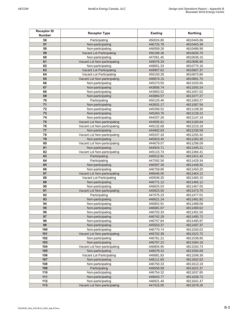| <b>Receptor ID</b><br><b>Number</b> | <b>Receptor Type</b>                          | <b>Easting</b>         | Northing                 |
|-------------------------------------|-----------------------------------------------|------------------------|--------------------------|
| 56                                  | Participating                                 | 450024.80              | 4810445.86               |
| 57                                  | Non-participating                             | 446725.78              | 4810463.38               |
| 58                                  | Non-participating                             | 446959.26              | 4810488.98               |
| 59                                  | Vacant Lot Participating                      | 450189.36              | 4810630.70               |
| 60                                  | Non-participating                             | 447061.45              | 4810636.15               |
| 61                                  | Vacant Lot Non-participating                  | 449076.29              | 4810696.96               |
| 62                                  | Non-participating                             | 448851.33              | 4810775.16               |
| 63                                  | <b>Vacant Lot Participating</b>               | 449907.62              | 4810807.37               |
| 64                                  | Vacant Lot Participating                      | 450150.28              | 4810873.86               |
| 65                                  | Vacant Lot Non-participating                  | 448874.15              | 4810891.75               |
| 66                                  | Non-participating                             | 445273.55              | 4811025.65               |
| 67                                  | Non-participating                             | 443856.74              | 4811050.24               |
| 68                                  | Non-participating                             | 443863.52              | 4811057.02               |
| 69                                  | Non-participating                             | 443884.57              | 4811077.27               |
| 70                                  | Participating                                 | 450125.46              | 4811083.27               |
| 71                                  | Non-participating                             | 443831.17              | 4811087.56               |
| 72                                  | Non-participating                             | 445269.52              | 4811108.30               |
| 73                                  | Non-participating                             | 445263.75              | 4811128.22               |
| 74                                  | Non-participating                             | 444207.26              | 4811147.19               |
| 75                                  | Vacant Lot Non-participating                  | 444695.61              | 4811183.64               |
| 76                                  | Vacant Lot Non-participating                  | 445132.68              | 4811215.18               |
| 77                                  | Non-participating                             | 444902.63              | 4811230.59               |
| 78                                  | Vacant Lot Non-participating                  | 445337.33              | 4811255.42               |
| 79                                  | Non-participating                             | 445923.45              | 4811283.35               |
| 80                                  | Vacant Lot Non-participating                  | 444679.07              | 4811296.09               |
| 81                                  | Non-participating                             | 444924.71              | 4811345.21               |
| 82                                  | Vacant Lot Non-participating                  | 445115.74              | 4811384.41               |
| 83                                  | Participating                                 | 446512.91              | 4811421.42               |
| 84                                  | Participating                                 | 447592.56              | 4811429.34               |
| 85                                  | Non-participating                             | 446597.30              | 4811448.92               |
| 86                                  | Non-participating                             | 446759.86              | 4811450.20               |
| 87                                  | Vacant Lot Non-participating                  | 446646.00              | 4811464.12               |
| 88<br>89                            | Vacant Lot Participating<br>Non-participating | 445636.20              | 4811465.10               |
| 90                                  | Non-participating                             | 446771.12              | 4811465.12               |
| 91                                  | Vacant Lot Non-participating                  | 446825.03<br>445823.50 | 4811467.05<br>4811473.70 |
| 92                                  | Participating                                 | 447075.23              | 4811477.01               |
| 93                                  | Non-participating                             | 446621.24              | 4811481.92               |
| 94                                  | Non-participating                             | 446802.91              | 4811488.08               |
| 95                                  | Non-participating                             | 446681.07              | 4811490.62               |
| 96                                  | Non-participating                             | 446702.33              | 4811491.55               |
| 97                                  | Non-participating                             | 446742.29              | 4811495.72               |
| 98                                  | Non-participating                             | 446757.84              | 4811495.97               |
| 99                                  | Non-participating                             | 445503.37              | 4811497.37               |
| 100                                 | Non-participating                             | 446770.74              | 4811500.02               |
| 101                                 | Vacant Lot Non-participating                  | 446702.39              | 4811522.72               |
| 102                                 | Non-participating                             | 446761.21              | 4811538.85               |
| 103                                 | Non-participating                             | 446757.22              | 4811584.18               |
| 104                                 | Vacant Lot Non-participating                  | 446804.95              | 4811593.73               |
| 105                                 | Non-participating                             | 448079.42              | 4811594.69               |
| 106                                 | Vacant Lot Participating                      | 446881.83              | 4811599.38               |
| 107                                 | Non-participating                             | 448111.65              | 4811602.63               |
| 108                                 | Non-participating                             | 446750.33              | 4811613.19               |
| 109                                 | Participating                                 | 446558.58              | 4811621.37               |
| 110                                 | Non-participating                             | 446754.32              | 4811637.85               |
| 111                                 | Non-participating                             | 448643.77              | 4811638.72               |
| 112                                 | Non-participating                             | 446821.40              | 4811641.47               |
| 113                                 | Vacant Lot Non-participating                  | 447415.05              | 4811678.26               |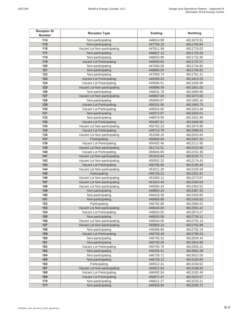| <b>Receptor ID</b><br><b>Number</b> | <b>Receptor Type</b>                                     | <b>Easting</b>         | Northing                 |
|-------------------------------------|----------------------------------------------------------|------------------------|--------------------------|
| 114                                 | Non-participating                                        | 446814.88              | 4811679.91               |
| 115                                 | Non-participating                                        | 447794.19              | 4811705.69               |
| 116                                 | Vacant Lot Non-participating                             | 447811.98              | 4811715.02               |
| 117                                 | Non-participating                                        | 448827.13              | 4811729.29               |
| 118                                 | Non-participating                                        | 448653.98              | 4811731.95               |
| 119                                 | Vacant Lot Participating                                 | 448936.63              | 4811737.07               |
| 120                                 | Non-participating                                        | 447564.58              | 4811744.90               |
| 121                                 | Non-participating                                        | 448804.93              | 4811756.81               |
| 122                                 | Non-participating                                        | 447569.74              | 4811761.41               |
| 123                                 | Vacant Lot Participating                                 | 449458.52              | 4811814.25               |
| 124                                 | Vacant Lot Participating                                 | 449594.51              | 4811839.98               |
| 125                                 | Vacant Lot Non-participating                             | 449686.39              | 4811851.00               |
| 126                                 | Non-participating                                        | 448031.78              | 4811860.69               |
| 127                                 | Vacant Lot Non-participating                             | 449807.68              | 4811873.06               |
| 128                                 | Non-participating                                        | 450004.67              | 4811883.16               |
| 129                                 | Vacant Lot Participating                                 | 450151.95              | 4811905.75               |
| 130                                 | Vacant Lot Participating                                 | 448925.60              | 4811913.48               |
| 131                                 | Non-participating                                        | 449372.87              | 4811920.01               |
| 132                                 | Non-participating                                        | 448070.56              | 4811931.99               |
| 133<br>134                          | Vacant Lot Participating                                 | 450487.61              | 4811946.56               |
| 135                                 | Vacant Lot Non-participating<br>Vacant Lot Participating | 450752.23<br>449715.79 | 4811975.96<br>4811998.02 |
| 136                                 | Vacant Lot Non-participating                             | 451096.15              | 4812033.94               |
| 137                                 | Participating                                            | 450060.00              | 4812047.22               |
| 138                                 | Vacant Lot Participating                                 | 450432.48              | 4812111.95               |
| 139                                 | Vacant Lot Non-participating                             | 451722.51              | 4812122.98               |
| 140                                 | Vacant Lot Participating                                 | 450645.65              | 4812152.38               |
| 141                                 | Vacant Lot Non-participating                             | 451616.64              | 4812152.71               |
| 142                                 | Vacant Lot Non-participating                             | 450932.32              | 4812174.43               |
| 143                                 | Vacant Lot Participating                                 | 450792.66              | 4812185.46               |
| 144                                 | Vacant Lot Non-participating                             | 451611.28              | 4812235.58               |
| 145                                 | Participating                                            | 448726.23              | 4812252.41               |
| 146                                 | Vacant Lot Non-participating                             | 451693.11              | 4812273.67               |
| 147                                 | Vacant Lot Non-participating                             | 451814.40              | 4812284.69               |
| 148                                 | Vacant Lot Non-participating                             | 446584.43              | 4812354.52               |
| 149                                 | Non-participating                                        | 448854.25              | 4812387.20               |
| 150                                 | Non-participating                                        | 446416.39              | 4812420.85               |
| 151                                 | Non-participating                                        | 448800.68              | 4812430.62               |
| 152                                 | Participating                                            | 446702.89              | 4812580.02               |
| 153                                 | Vacant Lot Non-participating                             | 446544.00              | 4812593.42               |
| 154                                 | Vacant Lot Participating                                 | 448620.55              | 4812674.27               |
| 155                                 | Non-participating                                        | 448503.59              | 4812739.12               |
| 156                                 | Vacant Lot Non-participating                             | 446544.00              | 4812755.13               |
| 157                                 | Vacant Lot Non-participating                             | 450855.14              | 4812791.88               |
| 158<br>159                          | Non-participating<br>Vacant Lot Participating            | 446366.86<br>446753.49 | 4812792.19<br>4812799.23 |
| 160                                 | Non-participating                                        | 448793.32              | 4812839.43               |
| 161                                 | Non-participating                                        | 446700.05              | 4812924.96               |
| 162                                 | Vacant Lot Participating                                 | 450700.78              | 4812935.22               |
| 163                                 | Non-participating                                        | 446335.41              | 4812981.39               |
| 164                                 | Non-participating                                        | 448728.71              | 4813022.00               |
| 165                                 | Non-participating                                        | 448726.13              | 4813150.65               |
| 166                                 | Participating                                            | 448512.31              | 4813158.62               |
| 167                                 | Vacant Lot Non-participating                             | 450811.04              | 4813188.82               |
| 168                                 | Vacant Lot Participating                                 | 446492.54              | 4813192.49               |
| 169                                 | Vacant Lot Participating                                 | 450671.37              | 4813225.57               |
| 170                                 | Non-participating                                        | 446611.27              | 4813233.21               |
| 171                                 | Non-participating                                        | 446403.92              | 4813280.72               |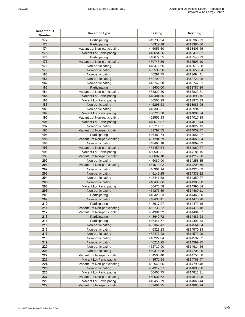| <b>Receptor ID</b><br><b>Number</b> | <b>Receptor Type</b>            | <b>Easting</b> | Northing   |
|-------------------------------------|---------------------------------|----------------|------------|
| 172                                 | Participating                   | 449736.94      | 4813366.73 |
| 173                                 | Participating                   | 446319.18      | 4813380.86 |
| 174                                 | Vacant Lot Non-participating    | 445055.50      | 4813405.66 |
| 175                                 | <b>Vacant Lot Participating</b> | 446654.26      | 4813471.82 |
| 176                                 | Participating                   | 448677.55      | 4813543.23 |
| 177                                 | Vacant Lot Non-participating    | 450748.56      | 4813593.10 |
| 178                                 | Non-participating               | 448476.65      | 4813613.28 |
| 179                                 | Non-participating               | 452536.36      | 4813655.34 |
| 180                                 | Non-participating               | 446291.75      | 4813694.41 |
| 181                                 | Non-participating               | 452790.27      | 4813722.96 |
| 182                                 | Non-participating               | 446742.98      | 4813747.62 |
| 183                                 | Participating                   | 448600.00      | 4813787.36 |
| 184                                 | Vacant Lot Non-participating    | 453829.30      | 4813822.81 |
| 185                                 | Vacant Lot Participating        | 448484.56      | 4813898.15 |
| 186                                 | Vacant Lot Participating        | 450505.99      | 4813975.33 |
| 187                                 | Non-participating               | 446293.63      | 4813985.96 |
| 188                                 | Non-participating               | 446306.61      | 4813994.91 |
| 189                                 | Vacant Lot Participating        | 450726.50      | 4814004.74 |
| 190                                 | Vacant Lot Non-participating    | 452555.33      | 4814017.28 |
| 191                                 | Vacant Lot Participating        | 448616.87      | 4814019.44 |
| 192                                 | Non-participating               | 452711.51      | 4814027.13 |
| 193                                 | Vacant Lot Non-participating    | 453797.55      | 4814039.77 |
| 194                                 | Participating                   | 446483.74      | 4814051.97 |
| 195                                 | Vacant Lot Non-participating    | 451204.29      | 4814063.54 |
| 196                                 | Non-participating               | 448465.18      | 4814069.72 |
| 197                                 | Vacant Lot Non-participating    | 451450.54      | 4814089.27 |
| 198                                 | Vacant Lot Participating        | 450502.31      | 4814181.15 |
| 199                                 | Vacant Lot Non-participating    | 450697.10      | 4814217.90 |
| 200                                 | Non-participating               | 446089.90      | 4814258.35 |
| 201                                 | Vacant Lot Non-participating    | 451513.02      | 4814298.76 |
| 202                                 | Non-participating               | 446361.14      | 4814325.03 |
| 203                                 | Non-participating               | 446149.25      | 4814339.32 |
| 204                                 | Non-participating               | 448441.58      | 4814359.27 |
| 205                                 | Non-participating               | 448438.06      | 4814388.08 |
| 206                                 | Vacant Lot Participating        | 450476.58      | 4814390.64 |
| 207                                 | Non-participating               | 454275.89      | 4814460.11 |
| 208                                 | Participating                   | 446423.33      | 4814463.00 |
| 209                                 | Non-participating               | 448430.41      | 4814470.98 |
| 210                                 | Participating                   | 448617.97      | 4814472.16 |
| 211                                 | Vacant Lot Non-participating    | 452733.22      | 4814475.18 |
| 212                                 | Vacant Lot Non-participating    | 454384.92      | 4814484.27 |
| 213                                 | Participating                   | 448649.72      | 4814485.68 |
| 214                                 | Participating                   | 446441.77      | 4814491.53 |
| 215                                 | Non-participating               | 452362.42      | 4814564.54 |
| 216                                 | Non-participating               | 446321.23      | 4814570.33 |
| 217                                 | Non-participating               | 452471.28      | 4814579.99 |
| 218                                 | Non-participating               | 446227.04      | 4814592.22 |
| 219                                 | Non-participating               | 446211.25      | 4814599.35 |
| 220                                 | Non-participating               | 452719.90      | 4814614.26 |
| 221                                 | Non-participating               | 450315.88      | 4814708.29 |
| 222                                 | Vacant Lot Non-participating    | 454508.40      | 4814754.50 |
| 223                                 | Vacant Lot Participating        | 448572.54      | 4814768.47 |
| 224                                 | Vacant Lot Non-participating    | 452546.06      | 4814790.48 |
| 225                                 | Non-participating               | 454317.27      | 4814800.98 |
| 226                                 | Vacant Lot Participating        | 450406.75      | 4814813.31 |
| 227                                 | Vacant Lot Non-participating    | 450634.62      | 4814816.98 |
| 228                                 | Vacant Lot Participating        | 446455.79      | 4814868.44 |
| 229                                 | Vacant Lot Non-participating    | 452461.25      | 4814883.14 |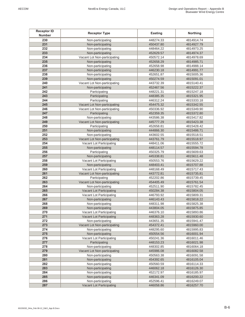| <b>Receptor ID</b><br><b>Number</b> | <b>Receptor Type</b>         | <b>Easting</b> | Northing   |
|-------------------------------------|------------------------------|----------------|------------|
| 230                                 | Non-participating            | 448274.33      | 4814914.74 |
| 231                                 | Non-participating            | 450437.80      | 4814927.79 |
| 232                                 | Non-participating            | 448464.22      | 4814973.25 |
| 233                                 | Non-participating            | 452629.57      | 4814974.37 |
| 234                                 | Vacant Lot Non-participating | 450572.14      | 4814978.69 |
| 235                                 | Non-participating            | 452658.29      | 4814985.71 |
| 236                                 | Non-participating            | 452658.98      | 4814988.14 |
| 237                                 | Non-participating            | 446230.18      | 4814991.77 |
| 238                                 | Non-participating            | 452651.87      | 4815005.36 |
| 239                                 | Non-participating            | 450274.59      | 4815091.01 |
| 240                                 | Vacant Lot Non-participating | 443732.39      | 4815140.41 |
| 241                                 | Non-participating            | 452467.56      | 4815222.37 |
| 242                                 | Participating                | 448221.31      | 4815247.18 |
| 243                                 | Participating                | 448385.35      | 4815321.95 |
| 244                                 | Participating                | 446312.24      | 4815333.18 |
| 245                                 | Vacant Lot Non-participating | 454475.32      | 4815342.55 |
| 246                                 | Vacant Lot Non-participating | 450336.92      | 4815349.90 |
| 247                                 | Participating                | 452359.35      | 4815372.80 |
| 248                                 | Non-participating            | 443586.38      | 4815417.82 |
| 249                                 | Vacant Lot Non-participating | 445777.29      | 4815423.38 |
| 250                                 | Participating                | 452658.81      | 4815428.42 |
| 251                                 | Non-participating            | 444866.30      | 4815486.71 |
| 252                                 | Non-participating            | 443602.55      | 4815518.51 |
| 253                                 | Vacant Lot Non-participating | 443761.79      | 4815518.97 |
| 254                                 | Vacant Lot Participating     | 448411.06      | 4815555.72 |
| 255                                 | Non-participating            | 448114.57      | 4815594.78 |
| 256                                 | Participating                | 450325.79      | 4815609.63 |
| 257                                 | Non-participating            | 445338.81      | 4815611.48 |
| 258                                 | Vacant Lot Participating     | 450553.76      | 4815629.22 |
| 259                                 | Non-participating            | 448403.41      | 4815707.88 |
| 260                                 | Vacant Lot Participating     | 448168.49      | 4815717.43 |
| 261                                 | Vacant Lot Non-participating | 443772.81      | 4815735.81 |
| 262                                 | Participating                | 452202.86      | 4815739.45 |
| 263                                 | Vacant Lot Non-participating | 454405.49      | 4815761.54 |
| 264                                 | Non-participating            | 452511.90      | 4815782.45 |
| 265                                 | Vacant Lot Participating     | 450284.38      | 4815804.05 |
| 266                                 | Vacant Lot Participating     | 446793.92      | 4815809.31 |
| 267                                 | Non-participating            | 446143.43      | 4815818.22 |
| 268                                 | Non-participating            | 448311.98      | 4815825.38 |
| 269                                 | Non-participating            | 443804.05      | 4815875.85 |
| 270                                 | Vacant Lot Participating     | 446376.10      | 4815893.86 |
| 271                                 | Vacant Lot Participating     | 448363.28      | 4815930.60 |
| 272                                 | Non-participating            | 443651.35      | 4815941.47 |
| 273                                 | Vacant Lot Non-participating | 454372.41      | 4815960.00 |
| 274                                 | Non-participating            | 448295.60      | 4815995.83 |
| 275                                 | Non-participating            | 450554.56      | 4816001.94 |
| 276                                 | Vacant Lot Participating     | 450241.36      | 4816011.46 |
| 277                                 | Participating                | 448153.23      | 4816021.98 |
| 278                                 | Non-participating            | 448302.85      | 4816064.18 |
| 279                                 | Vacant Lot Non-participating | 445986.08      | 4816082.58 |
| 280                                 | Non-participating            | 450563.38      | 4816091.58 |
| 281                                 | Non-participating            | 454392.65      | 4816105.04 |
| 282                                 | Non-participating            | 450560.59      | 4816114.33 |
| 283                                 | Non-participating            | 446062.18      | 4816126.30 |
| 284                                 | Non-participating            | 452172.97      | 4816185.97 |
| 285                                 | Non-participating            | 446341.09      | 4816200.22 |
| 286                                 | Non-participating            | 452596.41      | 4816249.07 |
| 287                                 | Vacant Lot Participating     | 446058.86      | 4816257.70 |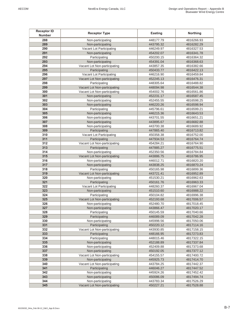| <b>Receptor ID</b><br><b>Number</b> | <b>Receptor Type</b>                          | <b>Easting</b>         | Northing                 |
|-------------------------------------|-----------------------------------------------|------------------------|--------------------------|
| 288                                 | Non-participating                             | 448177.79              | 4816266.93               |
| 289                                 | Non-participating                             | 443795.32              | 4816282.29               |
| 290                                 | Vacant Lot Participating                      | 446249.97              | 4816327.53               |
| 291                                 | Non-participating                             | 454202.07              | 4816341.78               |
| 292                                 | Participating                                 | 450200.15              | 4816364.32               |
| 293                                 | Non-participating                             | 454391.04              | 4816368.63               |
| 294                                 | Vacant Lot Non-participating                  | 443857.35              | 4816382.66               |
| 295                                 | Participating                                 | 450433.77              | 4816422.13               |
| 296                                 | Vacant Lot Participating                      | 446216.90              | 4816459.84               |
| 297                                 | Vacant Lot Non-participating                  | 452245.13              | 4816476.31               |
| 298                                 | Participating                                 | 448305.64              | 4816488.82               |
| 299                                 | Vacant Lot Non-participating                  | 448094.98              | 4816544.38               |
| 300                                 | Vacant Lot Non-participating                  | 454002.76              | 4816561.86               |
| 301                                 | Non-participating                             | 452231.17              | 4816587.45               |
| 302                                 | Non-participating                             | 452455.55              | 4816598.25               |
| 303                                 | Non-participating                             | 446220.26              | 4816598.94               |
| 304                                 | Participating                                 | 445796.61              | 4816599.21               |
| 305                                 | Non-participating                             |                        | 4816643.53               |
| 306                                 | Non-participating                             | 446215.36              |                          |
| 307                                 | Non-participating                             | 443701.55              | 4816651.21               |
| 308                                 |                                               | 443895.67              | 4816682.88               |
| 309                                 | Non-participating                             | 443700.38              | 4816689.92               |
|                                     | Participating                                 | 447865.40              | 4816713.82               |
| 310<br>311                          | Vacant Lot Participating                      | 450358.38              | 4816752.00<br>4816764.74 |
| 312                                 | Participating                                 | 447934.53              |                          |
| 313                                 | Vacant Lot Non-participating<br>Participating | 454284.21<br>447885.27 | 4816764.90<br>4816775.51 |
| 314                                 |                                               |                        |                          |
| 315                                 | Non-participating                             | 452350.56              | 4816784.84               |
|                                     | Vacant Lot Non-participating                  | 443886.75              | 4816786.95               |
| 316<br>317                          | Non-participating                             | 446012.71              | 4816820.20<br>4816870.24 |
| 318                                 | Non-participating<br>Participating            | 443838.25<br>450165.98 | 4816899.36               |
| 319                                 | Vacant Lot Non-participating                  | 443721.41              | 4816952.89               |
| 320                                 | Non-participating                             | 451530.21              | 4816962.63               |
| 321                                 | Participating                                 | 450161.76              | 4816963.33               |
| 322                                 | Vacant Lot Participating                      | 448260.37              | 4816967.04               |
| 323                                 | Non-participating                             | 451510.60              | 4816988.22               |
| 324                                 | Participating                                 | 450104.82              | 4816996.38               |
| 325                                 | Vacant Lot Non-participating                  | 452193.68              | 4817006.57               |
| 326                                 | Non-participating                             | 452480.70              | 4817018.45               |
| 327                                 | Non-participating                             | 443866.47              | 4817020.17               |
| 328                                 | Participating                                 | 450145.59              | 4817040.66               |
| 329                                 | Participating                                 | 446089.09              | 4817042.28               |
| 330                                 | Non-participating                             | 445998.56              | 4817050.06               |
| 331                                 | Participating                                 | 450220.12              | 4817114.16               |
| 332                                 | Vacant Lot Non-participating                  | 443930.85              | 4817158.15               |
| 333                                 | Participating                                 | 448166.95              | 4817273.83               |
| 334                                 | Participating                                 | 448015.46              | 4817322.15               |
| 335                                 | Non-participating                             | 452188.89              | 4817337.84               |
| 336                                 | Non-participating                             | 452409.88              | 4817373.68               |
| 337                                 | Non-participating                             | 450192.05              | 4817377.12               |
| 338                                 | Vacant Lot Non-participating                  | 454155.57              | 4817400.72               |
| 339                                 | Non-participating                             | 445925.73              | 4817414.70               |
| 340                                 | Vacant Lot Non-participating                  | 443784.25              | 4817442.37               |
| 341                                 | Participating                                 | 446046.27              | 4817447.52               |
| 342                                 | Non-participating                             | 445924.26              | 4817452.42               |
| 343                                 | Non-participating                             | 450086.09              | 4817494.74               |
| 344                                 | Non-participating                             | 443783.34              | 4817526.29               |
| 345                                 | Vacant Lot Non-participating                  | 450227.21              | 4817528.88               |
|                                     |                                               |                        |                          |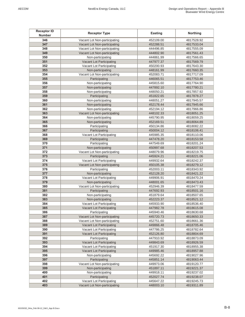| <b>Receptor ID</b><br><b>Number</b> | <b>Receptor Type</b>            | <b>Easting</b> | Northing   |
|-------------------------------------|---------------------------------|----------------|------------|
| 346                                 | Vacant Lot Non-participating    | 452109.00      | 4817528.92 |
| 347                                 | Vacant Lot Non-participating    | 452288.51      | 4817533.04 |
| 348                                 | Vacant Lot Non-participating    | 444496.85      | 4817555.09 |
| 349                                 | Vacant Lot Non-participating    | 444802.90      | 4817561.43 |
| 350                                 | Non-participating               | 444861.99      | 4817566.65 |
| 351                                 | Vacant Lot Participating        | 447977.37      | 4817569.79 |
| 352                                 | Vacant Lot Participating        | 450200.93      | 4817643.30 |
| 353                                 | Non-participating               | 448161.99      | 4817660.35 |
| 354                                 | Vacant Lot Non-participating    | 452083.71      | 4817717.09 |
| 355                                 | Participating                   | 446065.51      | 4817753.46 |
| 356                                 | Non-participating               | 445815.60      | 4817764.90 |
| 357                                 | Non-participating               | 447892.10      | 4817780.21 |
| 358                                 | Non-participating               | 448050.21      | 4817857.92 |
| 359                                 | Participating                   | 451822.65      | 4817878.27 |
| 360                                 | Non-participating               | 448051.27      | 4817945.57 |
| 361                                 | Non-participating               | 452178.44      | 4817945.66 |
| 362                                 | Non-participating               | 452194.12      | 4817966.86 |
| 363                                 | Vacant Lot Non-participating    | 448102.33      | 4818051.25 |
| 364                                 | Non-participating               | 445790.95      | 4818059.25 |
| 365                                 | Non-participating               | 452169.51      | 4818064.89 |
| 366                                 | Participating                   | 450134.86      | 4818082.22 |
| 367                                 | Participating                   | 450004.12      | 4818106.41 |
| 368                                 | Vacant Lot Participating        | 445985.35      | 4818110.06 |
| 369                                 | Participating                   | 447478.20      | 4818153.58 |
| 370                                 | Participating                   | 447549.69      | 4818201.24 |
| 371                                 | Non-participating               | 450997.68      | 4818207.53 |
| 372                                 | Vacant Lot Non-participating    | 448079.96      | 4818219.75 |
| 373                                 | Participating                   | 445924.21      | 4818221.06 |
| 374                                 | Vacant Lot Participating        | 449932.64      | 4818242.37 |
| 375                                 | Vacant Lot Non-participating    | 450105.38      | 4818279.12 |
| 376                                 | Participating                   | 452003.11      | 4818343.92 |
| 377                                 | Non-participating               | 452128.20      | 4818421.22 |
| 378                                 | Vacant Lot Participating        | 449906.91      | 4818470.24 |
| 379                                 | Non-participating               | 448001.65      | 4818473.43 |
| 380                                 | Vacant Lot Non-participating    | 452946.39      | 4818477.59 |
| 381                                 | Participating                   | 447692.93      | 4818501.16 |
| 382                                 | Non-participating               | 451879.64      | 4818507.65 |
| 383                                 | Non-participating               | 452223.37      | 4818521.12 |
| 384                                 | Vacant Lot Participating        | 445933.90      | 4818536.40 |
| 385                                 | Vacant Lot Participating        | 447982.78      | 4818615.08 |
| 386                                 | Participating                   | 445940.46      | 4818630.68 |
| 387                                 | Vacant Lot Non-participating    | 445720.73      | 4818650.33 |
| 388                                 | Vacant Lot Non-participating    | 452751.60      | 4818661.36 |
| 389                                 | Vacant Lot Participating        | 449866.48      | 4818705.46 |
| 390                                 | Vacant Lot Participating        | 447786.25      | 4818782.64 |
| 391                                 | Vacant Lot Participating        | 452126.80      | 4818804.69 |
| 392                                 | Participating                   | 447910.92      | 4818873.09 |
| 393                                 | Vacant Lot Participating        | 449843.69      | 4818926.59 |
| 394                                 | Vacant Lot Participating        | 451917.30      | 4818955.38 |
| 395                                 | <b>Vacant Lot Participating</b> | 449985.46      | 4818957.88 |
| 396                                 | Non-participating               | 445692.22      | 4819027.96 |
| 397                                 | Participating                   | 445851.14      | 4819063.44 |
| 398                                 | Vacant Lot Non-participating    | 449973.06      | 4819120.77 |
| 399                                 | Non-participating               | 451897.11      | 4819221.37 |
| 400                                 | Non-participating               | 449918.11      | 4819237.02 |
| 401                                 | Participating                   | 452027.74      | 4819238.07 |
| 402                                 | Vacant Lot Participating        | 445647.22      | 4819245.73 |
| 403                                 | Vacant Lot Non-participating    | 448003.10      | 4819311.89 |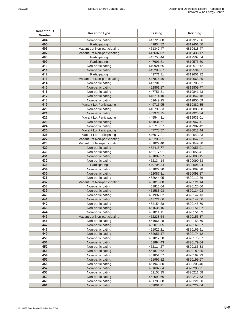| <b>Receptor ID</b><br><b>Number</b> | <b>Receptor Type</b>                   | Easting                | <b>Northing</b>          |
|-------------------------------------|----------------------------------------|------------------------|--------------------------|
| 404                                 | Non-participating                      | 447726.08              | 4819317.66               |
| 405                                 | Participating                          | 449834.52              | 4819401.60               |
| 406                                 | Vacant Lot Non-participating           | 451847.47              | 4819418.47               |
| 407                                 | Vacant Lot Non-participating           | 447687.02              | 4819433.17               |
| 408                                 | Participating                          | 445755.44              | 4819507.54               |
| 409                                 | Participating                          | 447691.81              | 4819576.50               |
| 410                                 | Non-participating                      | 449924.65              | 4819579.12               |
| 411                                 | Non-participating                      | 445288.67              | 4819594.61               |
| 412                                 | Participating                          | 449771.31              | 4819651.12               |
| 413                                 | Vacant Lot Non-participating           | 447874.46              | 4819668.39               |
| 414                                 | Non-participating                      | 447701.21              | 4819705.52               |
| 415                                 | Non-participating                      | 452861.17              | 4819809.77               |
| 416                                 | Non-participating                      | 447751.31              | 4819841.43               |
| 417                                 | Non-participating                      | 445714.10              | 4819842.18               |
| 418                                 | Non-participating                      | 452649.25              | 4819855.69               |
| 419                                 | Vacant Lot Participating               | 449715.95              | 4819882.85               |
| 420                                 | Non-participating                      | 445799.33              | 4819886.08               |
| 421                                 | Non-participating                      | 452974.75              | 4819923.34               |
| 422                                 | Vacant Lot Participating               | 445544.31              | 4819933.01               |
| 423                                 | Non-participating                      | 451831.71              | 4819967.11               |
| 424                                 | Non-participating                      | 452715.57              | 4819982.42               |
| 425                                 | Vacant Lot Participating               | 447778.57              | 4820012.44               |
| 426                                 | Vacant Lot Participating               | 446017.21              | 4820043.33               |
| 427                                 | Vacant Lot Non-participating           | 452203.61              | 4820047.92               |
| 428                                 | Vacant Lot Non-participating           | 451827.40              | 4820049.30               |
| 429                                 | Non-participating                      | 452416.77              | 4820056.01               |
| 430                                 | Non-participating                      | 452117.91              | 4820056.41               |
| 431                                 | Non-participating                      | 451889.27              | 4820088.15               |
| 432<br>433                          | Non-participating                      | 452134.14              | 4820090.53               |
| 434                                 | Participating                          | 449705.34<br>451822.20 | 4820096.94<br>4820097.28 |
| 435                                 | Non-participating<br>Non-participating | 452087.31              | 4820098.87               |
| 436                                 | Non-participating                      | 452044.05              | 4820112.36               |
| 437                                 | Vacant Lot Non-participating           | 451815.08              | 4820121.14               |
| 438                                 | Non-participating                      | 451816.64              | 4820125.06               |
| 439                                 | Non-participating                      | 451583.98              | 4820134.08               |
| 440                                 | Non-participating                      | 451997.62              | 4820142.13               |
| 441                                 | Non-participating                      | 447721.66              | 4820142.56               |
| 442                                 | Non-participating                      | 452154.38              | 4820145.70               |
| 443                                 | Non-participating                      | 451636.16              | 4820151.07               |
| 444                                 | Non-participating                      | 451814.11              | 4820151.59               |
| 445                                 | Vacant Lot Non-participating           | 452238.54              | 4820155.87               |
| 446                                 | Non-participating                      | 451964.28              | 4820158.79               |
| 447                                 | Non-participating                      | 452076.05              | 4820169.27               |
| 448                                 | Non-participating                      | 451922.21              | 4820169.91               |
| 449                                 | Non-participating                      | 452051.17              | 4820174.12               |
| 450                                 | Non-participating                      | 451812.28              | 4820175.07               |
| 451                                 | Non-participating                      | 451894.43              | 4820179.04               |
| 452                                 | Non-participating                      | 452114.27              | 4820183.83               |
| 453                                 | Non-participating                      | 451870.62              | 4820189.35               |
| 454                                 | Non-participating                      | 451851.57              | 4820192.93               |
| 455                                 | Non-participating                      | 451996.82              | 4820199.67               |
| 456                                 | Non-participating                      | 451948.80              | 4820208.40               |
| 457                                 | Non-participating                      | 451607.64              | 4820208.71               |
| 458                                 | Non-participating                      | 452158.35              | 4820211.58               |
| 459                                 | Non-participating                      | 452093.66              | 4820217.53               |
| 460                                 | Non-participating                      | 451785.68              | 4820221.90               |
| 461                                 | Non-participating                      | 452061.91              | 4820229.04               |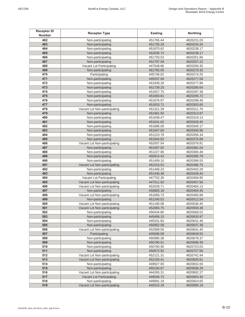| <b>Receptor ID</b><br><b>Number</b> | <b>Receptor Type</b>         | Easting   | Northing   |
|-------------------------------------|------------------------------|-----------|------------|
| 462                                 | Non-participating            | 451765.44 | 4820231.03 |
| 463                                 | Non-participating            | 451735.28 | 4820234.20 |
| 464                                 | Non-participating            | 451870.62 | 4820238.17 |
| 465                                 | Non-participating            | 452035.72 | 4820238.17 |
| 466                                 | Non-participating            | 451703.53 | 4820251.66 |
| 467                                 | Non-participating            | 451797.59 | 4820257.22 |
| 468                                 | Vacant Lot Participating     | 447548.86 | 4820269.35 |
| 469                                 | Non-participating            | 451765.05 | 4820270.32 |
| 470                                 | Participating                | 445746.02 | 4820274.25 |
| 471                                 | Non-participating            | 445537.94 | 4820277.08 |
| 472                                 | Non-participating            | 451939.28 | 4820277.86 |
| 473                                 | Non-participating            | 451739.25 | 4820280.64 |
| 474                                 | Non-participating            | 451827.75 | 4820287.38 |
| 475                                 | Non-participating            | 451693.61 | 4820295.72 |
| 476                                 | Non-participating            | 451876.97 | 4820298.49 |
| 477                                 | Non-participating            | 451833.71 | 4820303.65 |
| 478                                 | Vacant Lot Non-participating | 451321.39 | 4820311.76 |
| 479                                 | Non-participating            | 451961.50 | 4820313.97 |
| 480                                 | Non-participating            | 451838.47 | 4820319.13 |
| 481                                 | Non-participating            | 451641.62 | 4820329.45 |
| 482                                 | Non-participating            | 451886.09 | 4820340.17 |
| 483                                 | Non-participating            | 451847.60 | 4820340.96 |
| 484                                 | Non-participating            | 451223.79 | 4820356.34 |
| 485                                 | Non-participating            | 451844.82 | 4820375.89 |
| 486                                 | Vacant Lot Non-participating | 452007.54 | 4820376.81 |
| 487                                 | Non-participating            | 451907.92 | 4820381.04 |
| 488                                 | Non-participating            | 451227.06 | 4820384.48 |
| 489                                 | Non-participating            | 450914.42 | 4820395.79 |
| 490                                 | Non-participating            | 451409.10 | 4820396.53 |
| 491                                 | Vacant Lot Non-participating | 451515.52 | 4820396.75 |
| 492                                 | Non-participating            | 451468.23 | 4820403.28 |
| 493                                 | Non-participating            | 451436.48 | 4820439.40 |
| 494                                 | Vacant Lot Participating     | 447752.36 | 4820456.85 |
| 495                                 | Vacant Lot Non-participating | 447511.92 | 4820457.56 |
| 496                                 | Vacant Lot Non-participating | 452028.71 | 4820464.13 |
| 497                                 | Non-participating            | 450883.18 | 4820494.46 |
| 498                                 | Vacant Lot Non-participating | 451856.73 | 4820495.88 |
| 499                                 | Non-participating            | 451240.52 | 4820512.54 |
| 500                                 | Vacant Lot Non-participating | 451190.08 | 4820536.45 |
| 501                                 | Vacant Lot Non-participating | 452065.75 | 4820559.38 |
| 502                                 | Non-participating            | 450434.80 | 4820568.02 |
| 503                                 | Non-participating            | 445406.15 | 4820630.97 |
| 504                                 | Non-participating            | 445331.83 | 4820631.46 |
| 505                                 | Non-participating            | 450952.59 | 4820637.38 |
| 506                                 | Vacant Lot Non-participating | 452089.56 | 4820641.40 |
| 507                                 | Participating                | 445586.09 | 4820649.55 |
| 508                                 | Non-participating            | 450985.38 | 4820678.37 |
| 509                                 | Non-participating            | 450780.51 | 4820696.39 |
| 510                                 | Non-participating            | 450760.90 | 4820723.03 |
| 511                                 | Non-participating            | 450672.92 | 4820727.56 |
| 512                                 | Vacant Lot Non-participating | 452121.31 | 4820741.94 |
| 513                                 | Vacant Lot Non-participating | 452150.41 | 4820826.61 |
| 514                                 | Non-participating            | 449927.00 | 4820832.00 |
| 515                                 | Non-participating            | 450194.67 | 4820836.29 |
| 516                                 | Vacant Lot Non-participating | 444265.31 | 4820892.27 |
| 517                                 | Vacant Lot Participating     | 449546.73 | 4820903.30 |
| 518                                 | Non-participating            | 449991.19 | 4820924.65 |
| 519                                 | Vacant Lot Non-participating | 449315.18 | 4820995.18 |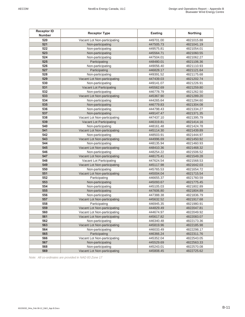| <b>Receptor ID</b><br><b>Number</b> | <b>Receptor Type</b>                              | Easting                |                          |  |  |
|-------------------------------------|---------------------------------------------------|------------------------|--------------------------|--|--|
| 520                                 | Vacant Lot Non-participating                      | 449701.00              | 4821015.88               |  |  |
| 521                                 | Non-participating                                 | 447505.73              | 4821041.19               |  |  |
| 522                                 | Non-participating                                 | 449575.81              |                          |  |  |
| 523                                 | Non-participating                                 | 445564.71              | 4821054.01<br>4821060.55 |  |  |
| 524                                 | Non-participating                                 | 447504.01              | 4821062.27               |  |  |
| 525                                 | Participating                                     | 448480.01              | 4821106.36               |  |  |
| 526                                 |                                                   | 449056.40              | 4821110.93               |  |  |
| 527                                 | Non-participating<br>Participating                | 446828.17              | 4821121.64               |  |  |
| 528                                 | Non-participating                                 | 449391.52              | 4821175.68               |  |  |
| 529                                 | Vacant Lot Non-participating                      |                        | 4821202.74               |  |  |
| 530                                 | Non-participating                                 | 447439.03<br>449141.07 | 4821226.91               |  |  |
| 531                                 | Vacant Lot Participating                          | 445562.69              | 4821259.80               |  |  |
| 532                                 | Non-participating                                 | 446778.79              | 4821262.50               |  |  |
| 533                                 | Vacant Lot Non-participating                      | 445367.90              | 4821289.20               |  |  |
| 534                                 | Non-participating                                 | 444265.64              | 4821294.60               |  |  |
| 535                                 | Non-participating                                 | 446779.83              | 4821304.08               |  |  |
| 536                                 | Non-participating                                 | 444798.43              | 4821334.27               |  |  |
| 537                                 | Non-participating                                 | 449147.47              | 4821371.35               |  |  |
| 538                                 | Vacant Lot Non-participating                      | 447437.10              | 4821395.79               |  |  |
| 539                                 |                                                   |                        | 4821414.16               |  |  |
| 540                                 | Vacant Lot Participating<br>446319.81             |                        | 4821424.78               |  |  |
| 541                                 | Non-participating<br>448161.48                    |                        | 4821439.89               |  |  |
| 542                                 | Vacant Lot Non-participating                      | 445114.30              |                          |  |  |
| 543                                 | Non-participating<br>Vacant Lot Non-participating | 448503.91              | 4821444.97<br>4821450.92 |  |  |
| 544                                 | Non-participating                                 | 444996.69              |                          |  |  |
| 545                                 | Vacant Lot Non-participating                      | 448135.94<br>448410.36 | 4821460.93<br>4821468.32 |  |  |
| 546                                 |                                                   | 448254.22              | 4821506.52               |  |  |
| 547                                 | Non-participating<br>Vacant Lot Non-participating | 448175.41              | 4821549.28               |  |  |
| 548                                 | Vacant Lot Participating                          | 447624.54              | 4821568.53               |  |  |
| 549                                 | Vacant Lot Non-participating                      | 445117.98              | 4821642.03               |  |  |
| 550                                 | Non-participating                                 | 445765.53              | 4821654.72               |  |  |
| 551                                 | Vacant Lot Non-participating                      | 445004.04              | 4821715.54               |  |  |
| 552                                 | Participating                                     | 446655.37              | 4821760.59               |  |  |
| 553                                 | Non-participating                                 | 445093.67              | 4821775.45               |  |  |
| 554                                 | Non-participating                                 |                        | 4821802.89               |  |  |
| 555                                 | 445105.03<br>Non-participating<br>447606.80       |                        | 4821804.89               |  |  |
| 556                                 | Non-participating                                 | 447388.38              | 4821836.79               |  |  |
| 557                                 | Vacant Lot Non-participating                      | 445632.52              | 4821917.68               |  |  |
| 558                                 | Participating                                     | 446945.35              | 4821980.91               |  |  |
| 559                                 | Vacant Lot Non-participating                      | 444829.49              | 4822047.81               |  |  |
| 560                                 | Vacant Lot Non-participating                      | 444674.97              | 4822049.92               |  |  |
| 561                                 | Vacant Lot Non-participating                      | 445617.82              | 4822083.07               |  |  |
| 562                                 | Non-participating                                 | 446340.48              | 4822173.36               |  |  |
| 563                                 | Vacant Lot Non-participating                      | 445819.96              | 4822185.98               |  |  |
| 564                                 | Non-participating                                 | 446033.49              | 4822298.17               |  |  |
| 565                                 | Participating                                     | 446366.24              | 4822311.76               |  |  |
| 566                                 | Vacant Lot Non-participating                      | 445352.04              | 4822543.05               |  |  |
| 567                                 | Non-participating                                 | 445529.69              | 4822563.33               |  |  |
| 568                                 | Non-participating                                 | 445243.01              | 4822570.08               |  |  |
| 569                                 | Vacant Lot Non-participating                      |                        | 4822725.62               |  |  |
|                                     |                                                   | 445808.45              |                          |  |  |

*Note: All co-ordinates are provided in NAD 83 Zone 17*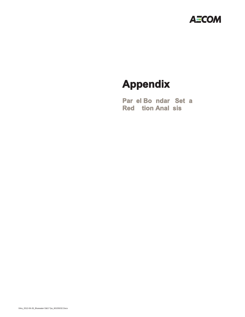

# **Appendix**

Par el Bondar Set a **Red** tion Anal sis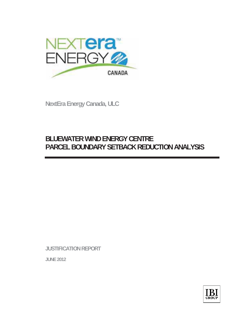

**NextEra Energy Canada, ULC** 

## **BLUEWATER WIND ENERGY CENTRE PARCEL BOUNDARY SETBACK REDUCTION ANALYSIS**

**JUSTIFICATION REPORT** 

**JUNE 2012**

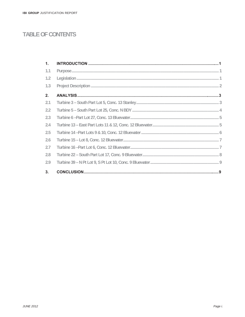## **TABLE OF CONTENTS**

| 1.  |  |
|-----|--|
| 1.1 |  |
| 1.2 |  |
| 1.3 |  |
| 2.  |  |
| 2.1 |  |
| 2.2 |  |
| 2.3 |  |
| 2.4 |  |
| 2.5 |  |
| 2.6 |  |
| 2.7 |  |
| 2.8 |  |
| 2.9 |  |
| 3.  |  |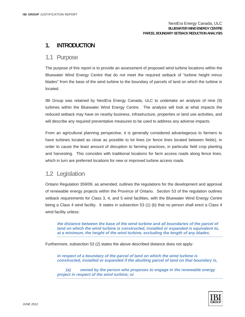### **1. INTRODUCTION**

### **1.1 Purpose**

The purpose of this report is to provide an assessment of proposed wind turbine locations within the Bluewater Wind Energy Centre that do not meet the required setback of "turbine height minus blades" from the base of the wind turbine to the boundary of parcels of land on which the turbine is located.

IBI Group was retained by NextEra Energy Canada, ULC to undertake an analysis of nine (9) turbines within the Bluewater Wind Energy Centre. The analysis will look at what impacts the reduced setback may have on nearby business, infrastructure, properties or land use activities, and will describe any required preventative measures to be used to address any adverse impacts.

From an agricultural planning perspective, it is generally considered advantageous to farmers to have turbines located as close as possible to lot lines (or fence lines located between fields), in order to cause the least amount of disruption to farming practices, in particular field crop planting and harvesting. This coincides with traditional locations for farm access roads along fence lines, which in turn are preferred locations for new or improved turbine access roads.

### **1.2 Legislation**

Ontario Regulation 359/09, as amended, outlines the regulations for the development and approval of renewable energy projects within the Province of Ontario. Section 53 of the regulation outlines setback requirements for Class 3, 4, and 5 wind facilities, with the Bluewater Wind Energy Centre being a Class 4 wind facility. It states in subsection 53 (1) (b) that no person shall erect a Class 4 wind facility unless:

*the distance between the base of the wind turbine and all boundaries of the parcel of land on which the wind turbine is constructed, installed or expanded is equivalent to, at a minimum, the height of the wind turbine, excluding the length of any blades.* 

Furthermore, subsection 53 (2) states the above described distance does not apply:

*in respect of a boundary of the parcel of land on which the wind turbine is constructed, installed or expanded if the abutting parcel of land on that boundary is,* 

 *(a) owned by the person who proposes to engage in the renewable energy project in respect of the wind turbine; or* 

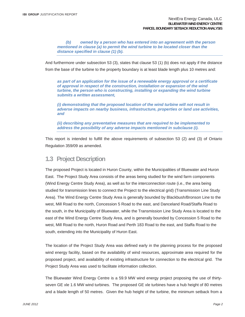*(b) owned by a person who has entered into an agreement with the person mentioned in clause (a) to permit the wind turbine to be located closer than the distance specified in clause (1) (b).* 

And furthermore under subsection 53 (3), states that clause 53 (1) (b) does not apply if the distance from the base of the turbine to the property boundary is at least blade length plus 10 metres and:

*as part of an application for the issue of a renewable energy approval or a certificate of approval in respect of the construction, installation or expansion of the wind turbine, the person who is constructing, installing or expanding the wind turbine submits a written assessment,* 

*(i) demonstrating that the proposed location of the wind turbine will not result in adverse impacts on nearby business, infrastructure, properties or land use activities, and* 

*(ii) describing any preventative measures that are required to be implemented to address the possibility of any adverse impacts mentioned in subclause (i).* 

This report is intended to fulfill the above requirements of subsection 53 (2) and (3) of Ontario Regulation 359/09 as amended.

### **1.3 Project Description**

The proposed Project is located in Huron County, within the Municipalities of Bluewater and Huron East. The Project Study Area consists of the areas being studied for the wind farm components (Wind Energy Centre Study Area), as well as for the interconnection route (i.e., the area being studied for transmission lines to connect the Project to the electrical grid) (Transmission Line Study Area). The Wind Energy Centre Study Area is generally bounded by Blackbush/Bronson Line to the west, Mill Road to the north, Concession 5 Road to the east, and Danceland Road/Staffa Road to the south, in the Municipality of Bluewater, while the Transmission Line Study Area is located to the east of the Wind Energy Centre Study Area, and is generally bounded by Concession 5 Road to the west, Mill Road to the north, Huron Road and Perth 183 Road to the east, and Staffa Road to the south, extending into the Municipality of Huron East.

The location of the Project Study Area was defined early in the planning process for the proposed wind energy facility, based on the availability of wind resources, approximate area required for the proposed project, and availability of existing infrastructure for connection to the electrical grid. The Project Study Area was used to facilitate information collection.

The Bluewater Wind Energy Centre is a 59.9 MW wind energy project proposing the use of thirtyseven GE xle 1.6 MW wind turbines. The proposed GE xle turbines have a hub height of 80 metres and a blade length of 50 metres. Given the hub height of the turbine, the minimum setback from a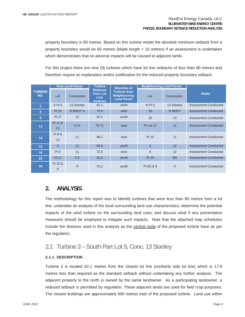property boundary is 80 metres. Based on this turbine model the absolute minimum setback from a property boundary would be 60 metres (blade length + 10 metres) if an assessment is undertaken which demonstrates that no adverse impacts will be caused to adjacent lands.

For this project there are nine (9) turbines which have lot line setbacks of less than 80 metres and therefore require an explanation and/or justification for the reduced property boundary setback.

|                       | <b>Host Land Parcel</b> |            | <b>Turbine</b>                                         | <b>Direction of</b>                                              | <b>Neighbouring Land Parcel</b> |            |                             |
|-----------------------|-------------------------|------------|--------------------------------------------------------|------------------------------------------------------------------|---------------------------------|------------|-----------------------------|
| <b>TURBINE</b><br>NO. | Lot                     | Concession | <b>Distance</b><br>from Lot<br><b>Line</b><br>(metres) | <b>Turbine from</b><br><b>Neighbouring</b><br><b>Land Parcel</b> | Lot                             | Concession | <b>Notes</b>                |
| 3                     | SPt <sub>5</sub>        | 13 Stanley | 62.1                                                   | north                                                            | N Pt 5                          | 13 Stanley | Assessment Conducted        |
| 5                     | Pt 25                   | N BNDY S   | 70.0                                                   | west                                                             | 26                              | N BNDY     | <b>Assessment Conducted</b> |
| 6                     | Pt 27                   | 13         | 62.1                                                   | south                                                            | 26                              | 13         | <b>Assessment Conducted</b> |
| 13                    | Pt 11 &<br>12           | 12E        | 70.71                                                  | east                                                             | Pt Lot 12                       | 11         | Assessment Conducted        |
| 14                    | Pt 9 &<br>10            | 12         | 66.1                                                   | east                                                             | Pt 10                           | 11         | Assessment Conducted        |
| 15                    | 8                       | 12         | 65.8                                                   | south                                                            | 8                               | 12         | <b>Assessment Conducted</b> |
| 16                    | Pt 6                    | 11         | 72.0                                                   | west                                                             | 6                               | 12         | Assessment Conducted        |
| 22                    | Pt 17                   | 9 S        | 63.9                                                   | south                                                            | Pt 16                           | <b>9N</b>  | Assessment Conducted        |
| 39                    | Pt 10 &<br>9            | 9          | 75.2                                                   | south                                                            | Pt 8S & 9                       | 9          | Assessment Conducted        |

### **2. ANALYSIS**

The methodology for this report was to identify turbines that were less than 80 metres from a lot line; undertake an analysis of the local surrounding land use characteristics; determine the potential impacts of the wind turbine on the surrounding land uses; and discuss what if any preventative measures should be employed to mitigate such impacts. Note that the attached map schedules include the distance used in this analysis as the central node of the proposed turbine base as per the regulation.

### **2.1 Turbine 3 – South Part Lot 5, Conc. 13 Stanley**

#### **2.1.1 DESCRIPTION**

Turbine 3 is located 62.1 metres from the closest lot line (northerly side lot line) which is 17.9 metres less than required as the standard setback without undertaking any further analysis. The adjacent property to the north is owned by the same landowner. As a participating landowner, a reduced setback is permitted by regulation. These adjacent lands are used for field crop purposes. The closest buildings are approximately 600 metres east of the proposed turbine. Land use within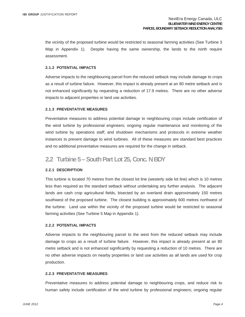the vicinity of the proposed turbine would be restricted to seasonal farming activities (See Turbine 3 Map in Appendix 1). Despite having the same ownership, the lands to the north require assessment.

#### **2.1.2 POTENTIAL IMPACTS**

Adverse impacts to the neighbouring parcel from the reduced setback may include damage to crops as a result of turbine failure. However, this impact is already present at an 80 metre setback and is not enhanced significantly by requesting a reduction of 17.9 metres. There are no other adverse impacts to adjacent properties or land use activities.

#### **2.1.3 PREVENTATIVE MEASURES**

Preventative measures to address potential damage to neighbouring crops include certification of the wind turbine by professional engineers; ongoing regular maintenance and monitoring of the wind turbine by operations staff; and shutdown mechanisms and protocols in extreme weather instances to prevent damage to wind turbines. All of these measures are standard best practices and no additional preventative measures are required for the change in setback.

### **2.2 Turbine 5 – South Part Lot 25, Conc. N BDY**

#### **2.2.1 DESCRIPTION**

This turbine is located 70 metres from the closest lot line (westerly side lot line) which is 10 metres less than required as the standard setback without undertaking any further analysis. The adjacent lands are cash crop agricultural fields, bisected by an overland drain approximately 150 metres southwest of the proposed turbine. The closest building is approximately 600 metres northwest of the turbine. Land use within the vicinity of the proposed turbine would be restricted to seasonal farming activities (See Turbine 5 Map in Appendix 1).

#### **2.2.2 POTENTIAL IMPACTS**

Adverse impacts to the neighbouring parcel to the west from the reduced setback may include damage to crops as a result of turbine failure. However, this impact is already present at an 80 metre setback and is not enhanced significantly by requesting a reduction of 10 metres. There are no other adverse impacts on nearby properties or land use activities as all lands are used for crop production.

#### **2.2.3 PREVENTATIVE MEASURES**

Preventative measures to address potential damage to neighbouring crops, and reduce risk to human safety include certification of the wind turbine by professional engineers; ongoing regular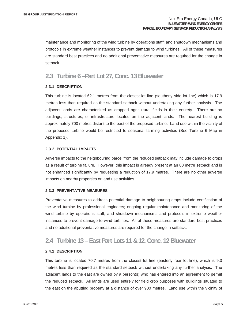maintenance and monitoring of the wind turbine by operations staff; and shutdown mechanisms and protocols in extreme weather instances to prevent damage to wind turbines. All of these measures are standard best practices and no additional preventative measures are required for the change in setback.

### **2.3 Turbine 6 –Part Lot 27, Conc. 13 Bluewater**

#### **2.3.1 DESCRIPTION**

This turbine is located 62.1 metres from the closest lot line (southerly side lot line) which is 17.9 metres less than required as the standard setback without undertaking any further analysis. The adjacent lands are characterized as cropped agricultural fields in their entirety. There are no buildings, structures, or infrastructure located on the adjacent lands. The nearest building is approximately 700 metres distant to the east of the proposed turbine. Land use within the vicinity of the proposed turbine would be restricted to seasonal farming activities (See Turbine 6 Map in Appendix 1).

#### **2.3.2 POTENTIAL IMPACTS**

Adverse impacts to the neighbouring parcel from the reduced setback may include damage to crops as a result of turbine failure. However, this impact is already present at an 80 metre setback and is not enhanced significantly by requesting a reduction of 17.9 metres. There are no other adverse impacts on nearby properties or land use activities.

#### **2.3.3 PREVENTATIVE MEASURES**

Preventative measures to address potential damage to neighbouring crops include certification of the wind turbine by professional engineers; ongoing regular maintenance and monitoring of the wind turbine by operations staff; and shutdown mechanisms and protocols in extreme weather instances to prevent damage to wind turbines. All of these measures are standard best practices and no additional preventative measures are required for the change in setback.

### **2.4 Turbine 13 – East Part Lots 11 & 12, Conc. 12 Bluewater**

#### **2.4.1 DESCRIPTION**

This turbine is located 70.7 metres from the closest lot line (easterly rear lot line), which is 9.3 metres less than required as the standard setback without undertaking any further analysis. The adjacent lands to the east are owned by a person(s) who has entered into an agreement to permit the reduced setback. All lands are used entirely for field crop purposes with buildings situated to the east on the abutting property at a distance of over 900 metres. Land use within the vicinity of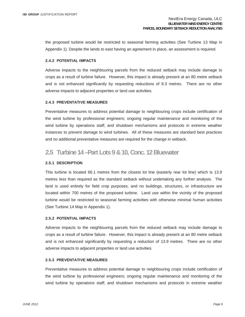the proposed turbine would be restricted to seasonal farming activities (See Turbine 13 Map in Appendix 1). Despite the lands to east having an agreement in place, an assessment is required.

#### **2.4.2 POTENTIAL IMPACTS**

Adverse impacts to the neighbouring parcels from the reduced setback may include damage to crops as a result of turbine failure. However, this impact is already present at an 80 metre setback and is not enhanced significantly by requesting reductions of 9.3 metres. There are no other adverse impacts to adjacent properties or land use activities.

#### **2.4.3 PREVENTATIVE MEASURES**

Preventative measures to address potential damage to neighbouring crops include certification of the wind turbine by professional engineers; ongoing regular maintenance and monitoring of the wind turbine by operations staff; and shutdown mechanisms and protocols in extreme weather instances to prevent damage to wind turbines. All of these measures are standard best practices and no additional preventative measures are required for the change in setback.

### **2.5 Turbine 14 –Part Lots 9 & 10, Conc. 12 Bluewater**

#### **2.5.1 DESCRIPTION**

This turbine is located 66.1 metres from the closest lot line (easterly rear lot line) which is 13.9 metres less than required as the standard setback without undertaking any further analysis. The land is used entirely for field crop purposes, and no buildings, structures, or infrastructure are located within 700 metres of the proposed turbine. Land use within the vicinity of the proposed turbine would be restricted to seasonal farming activities with otherwise minimal human activities (See Turbine 14 Map in Appendix 1).

#### **2.5.2 POTENTIAL IMPACTS**

Adverse impacts to the neighbouring parcels from the reduced setback may include damage to crops as a result of turbine failure. However, this impact is already present at an 80 metre setback and is not enhanced significantly by requesting a reduction of 13.9 metres. There are no other adverse impacts to adjacent properties or land use activities.

#### **2.5.3 PREVENTATIVE MEASURES**

Preventative measures to address potential damage to neighbouring crops include certification of the wind turbine by professional engineers; ongoing regular maintenance and monitoring of the wind turbine by operations staff; and shutdown mechanisms and protocols in extreme weather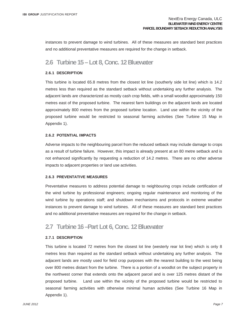instances to prevent damage to wind turbines. All of these measures are standard best practices and no additional preventative measures are required for the change in setback.

### **2.6 Turbine 15 – Lot 8, Conc. 12 Bluewater**

#### **2.6.1 DESCRIPTION**

This turbine is located 65.8 metres from the closest lot line (southerly side lot line) which is 14.2 metres less than required as the standard setback without undertaking any further analysis. The adjacent lands are characterized as mostly cash crop fields, with a small woodlot approximately 150 metres east of the proposed turbine. The nearest farm buildings on the adjacent lands are located approximately 800 metres from the proposed turbine location. Land use within the vicinity of the proposed turbine would be restricted to seasonal farming activities (See Turbine 15 Map in Appendix 1).

#### **2.6.2 POTENTIAL IMPACTS**

Adverse impacts to the neighbouring parcel from the reduced setback may include damage to crops as a result of turbine failure. However, this impact is already present at an 80 metre setback and is not enhanced significantly by requesting a reduction of 14.2 metres. There are no other adverse impacts to adjacent properties or land use activities.

#### **2.6.3 PREVENTATIVE MEASURES**

Preventative measures to address potential damage to neighbouring crops include certification of the wind turbine by professional engineers; ongoing regular maintenance and monitoring of the wind turbine by operations staff; and shutdown mechanisms and protocols in extreme weather instances to prevent damage to wind turbines. All of these measures are standard best practices and no additional preventative measures are required for the change in setback.

### **2.7 Turbine 16 –Part Lot 6, Conc. 12 Bluewater**

#### **2.7.1 DESCRIPTION**

This turbine is located 72 metres from the closest lot line (westerly rear lot line) which is only 8 metres less than required as the standard setback without undertaking any further analysis. The adjacent lands are mostly used for field crop purposes with the nearest building to the west being over 800 metres distant from the turbine. There is a portion of a woodlot on the subject property in the northwest corner that extends onto the adjacent parcel and is over 125 metres distant of the proposed turbine. Land use within the vicinity of the proposed turbine would be restricted to seasonal farming activities with otherwise minimal human activities (See Turbine 16 Map in Appendix 1).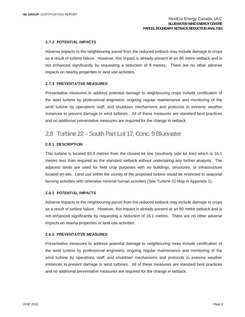#### **2.7.2 POTENTIAL IMPACTS**

Adverse impacts to the neighbouring parcel from the reduced setback may include damage to crops as a result of turbine failure. However, this impact is already present at an 80 metre setback and is not enhanced significantly by requesting a reduction of 8 metres. There are no other adverse impacts on nearby properties or land use activities.

#### **2.7.3 PREVENTATIVE MEASURES**

Preventative measures to address potential damage to neighbouring crops include certification of the wind turbine by professional engineers; ongoing regular maintenance and monitoring of the wind turbine by operations staff; and shutdown mechanisms and protocols in extreme weather instances to prevent damage to wind turbines. All of these measures are standard best practices and no additional preventative measures are required for the change in setback.

### **2.8 Turbine 22 – South Part Lot 17, Conc. 9 Bluewater**

#### **2.8.1 DESCRIPTION**

This turbine is located 63.9 metres from the closest lot line (southerly side lot line) which is 16.1 metres less than required as the standard setback without undertaking any further analysis. The adjacent lands are used for field crop purposes with no buildings, structures, or infrastructure located on-site. Land use within the vicinity of the proposed turbine would be restricted to seasonal farming activities with otherwise minimal human activities (See Turbine 22 Map in Appendix 1).

#### **2.8.2 POTENTIAL IMPACTS**

Adverse impacts to the neighbouring parcel from the reduced setback may include damage to crops as a result of turbine failure. However, this impact is already present at an 80 metre setback and is not enhanced significantly by requesting a reduction of 16.1 metres. There are no other adverse impacts on nearby properties or land use activities.

#### **2.8.3 PREVENTATIVE MEASURES**

Preventative measures to address potential damage to neighbouring trees include certification of the wind turbine by professional engineers; ongoing regular maintenance and monitoring of the wind turbine by operations staff; and shutdown mechanisms and protocols in extreme weather instances to prevent damage to wind turbines. All of these measures are standard best practices and no additional preventative measures are required for the change in setback.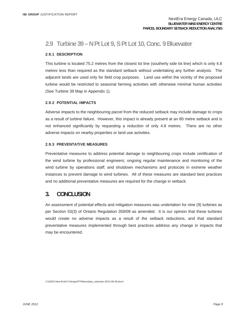### **2.9 Turbine 39 – N Pt Lot 9, S Pt Lot 10, Conc. 9 Bluewater**

#### **2.9.1 DESCRIPTION**

This turbine is located 75.2 metres from the closest lot line (southerly side lot line) which is only 4.8 metres less than required as the standard setback without undertaking any further analysis. The adjacent lands are used only for field crop purposes. Land use within the vicinity of the proposed turbine would be restricted to seasonal farming activities with otherwise minimal human activities (See Turbine 39 Map in Appendix 1).

#### **2.9.2 POTENTIAL IMPACTS**

Adverse impacts to the neighbouring parcel from the reduced setback may include damage to crops as a result of turbine failure. However, this impact is already present at an 80 metre setback and is not enhanced significantly by requesting a reduction of only 4.8 metres. There are no other adverse impacts on nearby properties or land use activities.

#### **2.9.3 PREVENTATIVE MEASURES**

Preventative measures to address potential damage to neighbouring crops include certification of the wind turbine by professional engineers; ongoing regular maintenance and monitoring of the wind turbine by operations staff; and shutdown mechanisms and protocols in extreme weather instances to prevent damage to wind turbines. All of these measures are standard best practices and no additional preventative measures are required for the change in setback.

### **3. CONCLUSION**

An assessment of potential effects and mitigation measures was undertaken for nine (9) turbines as per Section 53(3) of Ontario Regulation 359/09 as amended. It is our opinion that these turbines would create no adverse impacts as a result of the setback reductions, and that standard preventative measures implemented through best practices address any change in impacts that may be encountered.

J:\15633-Next-Era\5.0 Design\PTWboundary\_reduction-2012-06-28.docx\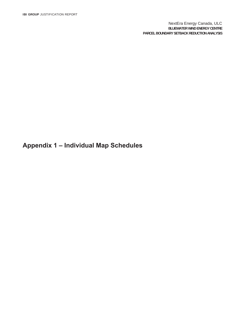NextEra Energy Canada, ULC **BLUEWATER WIND ENERGY CENTRE PARCEL BOUNDARY SETBACK REDUCTION ANALYSIS**

**Appendix 1 – Individual Map Schedules**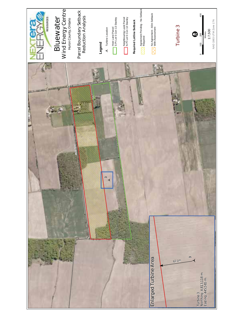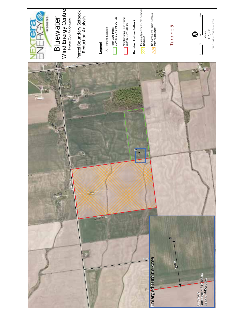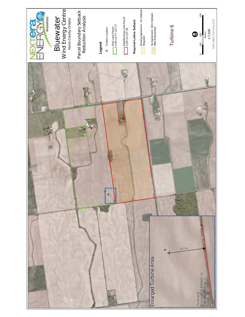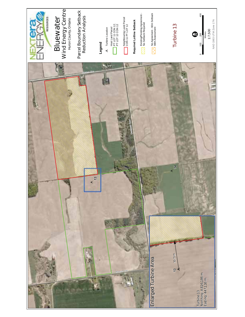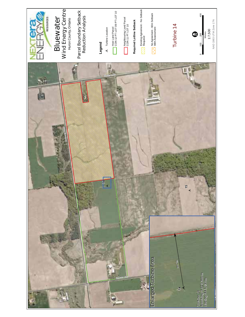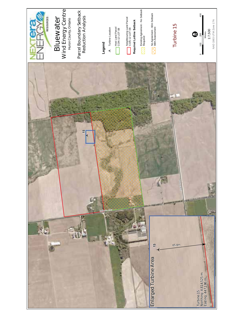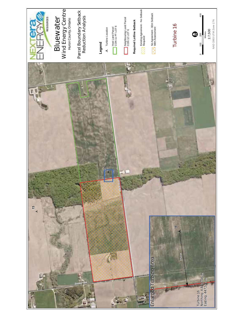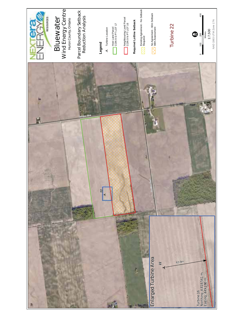